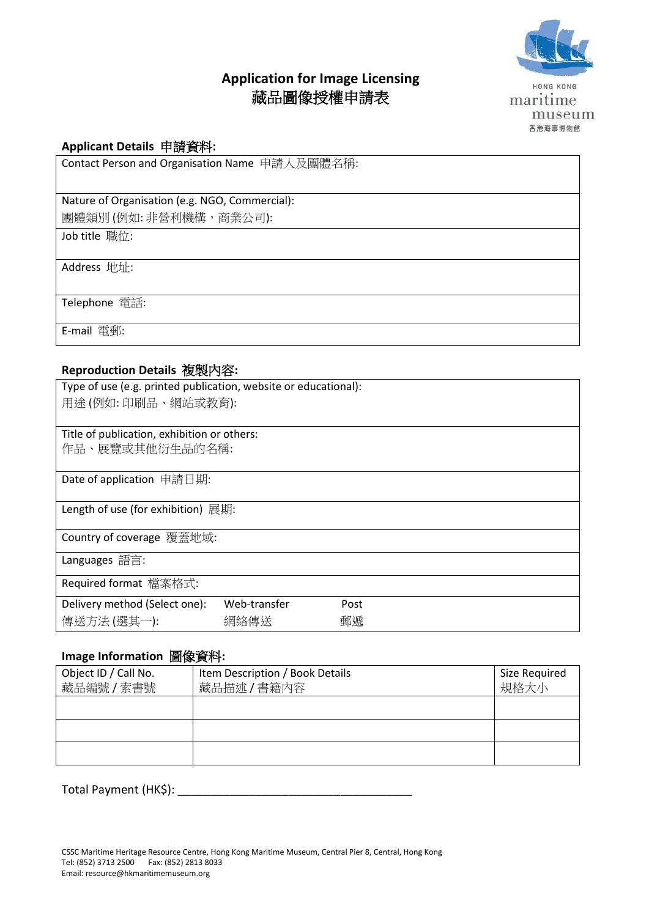## **Application for Image Licensing** 藏品圖像授權申請表



HONG KONG maritime museum 香港海事博物館

#### **Applicant Details** 申請資料**:**

Contact Person and Organisation Name 申請人及團體名稱:

# Nature of Organisation (e.g. NGO, Commercial):

團體類別(例如: 非營利機構,商業公司):

Job title 職位:

Address 地址:

Telephone 電話:

E-mail 電郵:

#### **Reproduction Details** 複製內容**:**

| Type of use (e.g. printed publication, website or educational): |              |      |  |  |
|-----------------------------------------------------------------|--------------|------|--|--|
| 用途(例如: 印刷品、網站或教育):                                              |              |      |  |  |
|                                                                 |              |      |  |  |
| Title of publication, exhibition or others:                     |              |      |  |  |
| 作品、展覽或其他衍生品的名稱:                                                 |              |      |  |  |
|                                                                 |              |      |  |  |
| Date of application 申請日期:                                       |              |      |  |  |
|                                                                 |              |      |  |  |
| Length of use (for exhibition) 展期:                              |              |      |  |  |
|                                                                 |              |      |  |  |
| Country of coverage 覆蓋地域:                                       |              |      |  |  |
| Languages 語言:                                                   |              |      |  |  |
|                                                                 |              |      |  |  |
| Required format 檔案格式:                                           |              |      |  |  |
| Delivery method (Select one):                                   | Web-transfer | Post |  |  |
| 傳送方法 (選其一):                                                     | 網絡傳送         | 郵遞   |  |  |
|                                                                 |              |      |  |  |

#### **Image Information** 圖像資料**:**

| Object ID / Call No.<br>藏品編號 / 索書號 | Item Description / Book Details<br>藏品描述 / 書籍內容 | Size Required<br>規格大小 |
|------------------------------------|------------------------------------------------|-----------------------|
|                                    |                                                |                       |
|                                    |                                                |                       |
|                                    |                                                |                       |

Total Payment (HK\$): \_\_\_\_\_\_\_\_\_\_\_\_\_\_\_\_\_\_\_\_\_\_\_\_\_\_\_\_\_\_\_\_\_\_\_\_